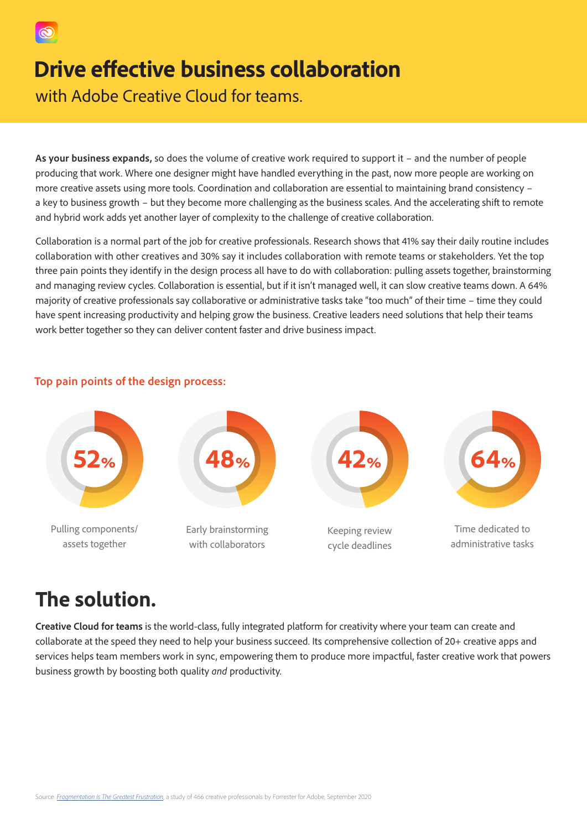

## **Drive effective business collaboration**

with Adobe Creative Cloud for teams.

**As your business expands,** so does the volume of creative work required to support it – and the number of people producing that work. Where one designer might have handled everything in the past, now more people are working on more creative assets using more tools. Coordination and collaboration are essential to maintaining brand consistency – a key to business growth – but they become more challenging as the business scales. And the accelerating shift to remote and hybrid work adds yet another layer of complexity to the challenge of creative collaboration.

Collaboration is a normal part of the job for creative professionals. Research shows that 41% say their daily routine includes collaboration with other creatives and 30% say it includes collaboration with remote teams or stakeholders. Yet the top three pain points they identify in the design process all have to do with collaboration: pulling assets together, brainstorming and managing review cycles. Collaboration is essential, but if it isn't managed well, it can slow creative teams down. A 64% majority of creative professionals say collaborative or administrative tasks take "too much" of their time – time they could have spent increasing productivity and helping grow the business. Creative leaders need solutions that help their teams work better together so they can deliver content faster and drive business impact.



#### **Top pain points of the design process:**

## **The solution.**

**Creative Cloud for teams** is the world-class, fully integrated platform for creativity where your team can create and collaborate at the speed they need to help your business succeed. Its comprehensive collection of 20+ creative apps and services helps team members work in sync, empowering them to produce more impactful, faster creative work that powers business growth by boosting both quality *and* productivity.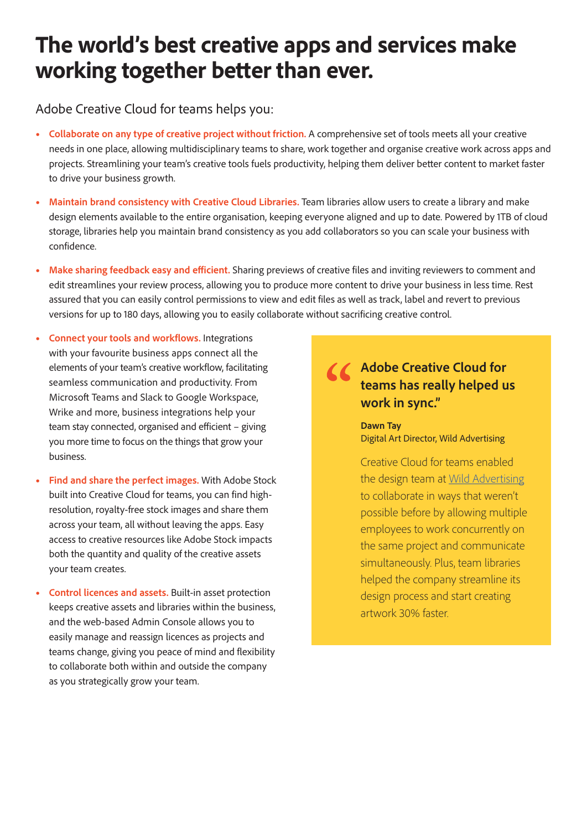# **The world's best creative apps and services make working together better than ever.**

Adobe Creative Cloud for teams helps you:

- **Collaborate on any type of creative project without friction.** A comprehensive set of tools meets all your creative needs in one place, allowing multidisciplinary teams to share, work together and organise creative work across apps and projects. Streamlining your team's creative tools fuels productivity, helping them deliver better content to market faster to drive your business growth.
- **Maintain brand consistency with Creative Cloud Libraries.** Team libraries allow users to create a library and make design elements available to the entire organisation, keeping everyone aligned and up to date. Powered by 1TB of cloud storage, libraries help you maintain brand consistency as you add collaborators so you can scale your business with confidence.
- **Make sharing feedback easy and efficient.** Sharing previews of creative files and inviting reviewers to comment and edit streamlines your review process, allowing you to produce more content to drive your business in less time. Rest assured that you can easily control permissions to view and edit files as well as track, label and revert to previous versions for up to 180 days, allowing you to easily collaborate without sacrificing creative control.
- **Connect your tools and workflows.** Integrations with your favourite business apps connect all the elements of your team's creative workflow, facilitating seamless communication and productivity. From Microsoft Teams and Slack to Google Workspace, Wrike and more, business integrations help your team stay connected, organised and efficient – giving you more time to focus on the things that grow your business.
- **Find and share the perfect images.** With Adobe Stock built into Creative Cloud for teams, you can find highresolution, royalty-free stock images and share them across your team, all without leaving the apps. Easy access to creative resources like Adobe Stock impacts both the quantity and quality of the creative assets your team creates.
- **Control licences and assets.** Built-in asset protection keeps creative assets and libraries within the business, and the web-based Admin Console allows you to easily manage and reassign licences as projects and teams change, giving you peace of mind and flexibility to collaborate both within and outside the company as you strategically grow your team.

### **Adobe Creative Cloud for teams has really helped us work in sync."**

**Dawn Tay**  Digital Art Director, Wild Advertising

Creative Cloud for teams enabled the design team at [Wild Advertising](https://business.adobe.com/customer-success-stories/wild-advertising-case-study.html) to collaborate in ways that weren't possible before by allowing multiple employees to work concurrently on the same project and communicate simultaneously. Plus, team libraries helped the company streamline its design process and start creating artwork 30% faster.